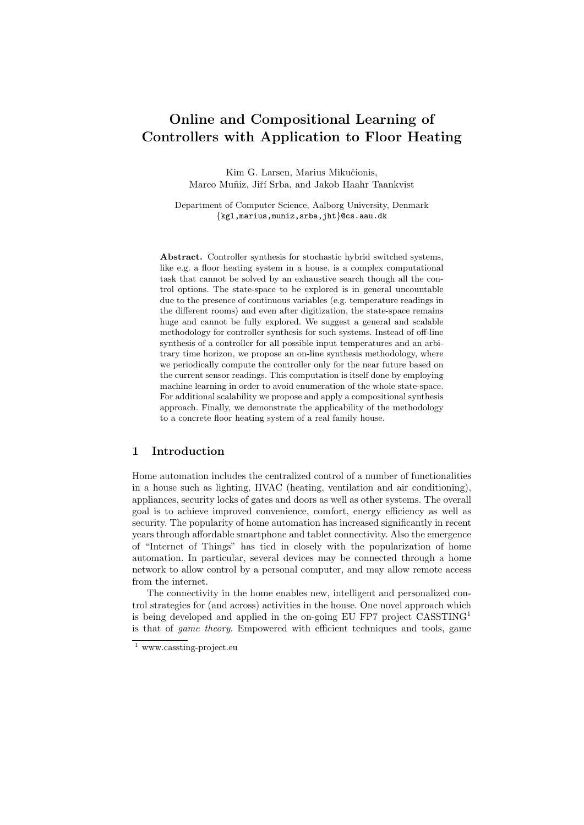# Online and Compositional Learning of Controllers with Application to Floor Heating

Kim G. Larsen, Marius Mikučionis, Marco Muñiz, Jiří Srba, and Jakob Haahr Taankvist

Department of Computer Science, Aalborg University, Denmark {kgl,marius,muniz,srba,jht}@cs.aau.dk

Abstract. Controller synthesis for stochastic hybrid switched systems, like e.g. a floor heating system in a house, is a complex computational task that cannot be solved by an exhaustive search though all the control options. The state-space to be explored is in general uncountable due to the presence of continuous variables (e.g. temperature readings in the different rooms) and even after digitization, the state-space remains huge and cannot be fully explored. We suggest a general and scalable methodology for controller synthesis for such systems. Instead of off-line synthesis of a controller for all possible input temperatures and an arbitrary time horizon, we propose an on-line synthesis methodology, where we periodically compute the controller only for the near future based on the current sensor readings. This computation is itself done by employing machine learning in order to avoid enumeration of the whole state-space. For additional scalability we propose and apply a compositional synthesis approach. Finally, we demonstrate the applicability of the methodology to a concrete floor heating system of a real family house.

### 1 Introduction

Home automation includes the centralized control of a number of functionalities in a house such as lighting, HVAC (heating, ventilation and air conditioning), appliances, security locks of gates and doors as well as other systems. The overall goal is to achieve improved convenience, comfort, energy efficiency as well as security. The popularity of home automation has increased significantly in recent years through affordable smartphone and tablet connectivity. Also the emergence of "Internet of Things" has tied in closely with the popularization of home automation. In particular, several devices may be connected through a home network to allow control by a personal computer, and may allow remote access from the internet.

The connectivity in the home enables new, intelligent and personalized control strategies for (and across) activities in the house. One novel approach which is being developed and applied in the on-going EU FP7 project  $CASSTING<sup>1</sup>$  $CASSTING<sup>1</sup>$  $CASSTING<sup>1</sup>$ is that of game theory. Empowered with efficient techniques and tools, game

<span id="page-0-0"></span><sup>1</sup> www.cassting-project.eu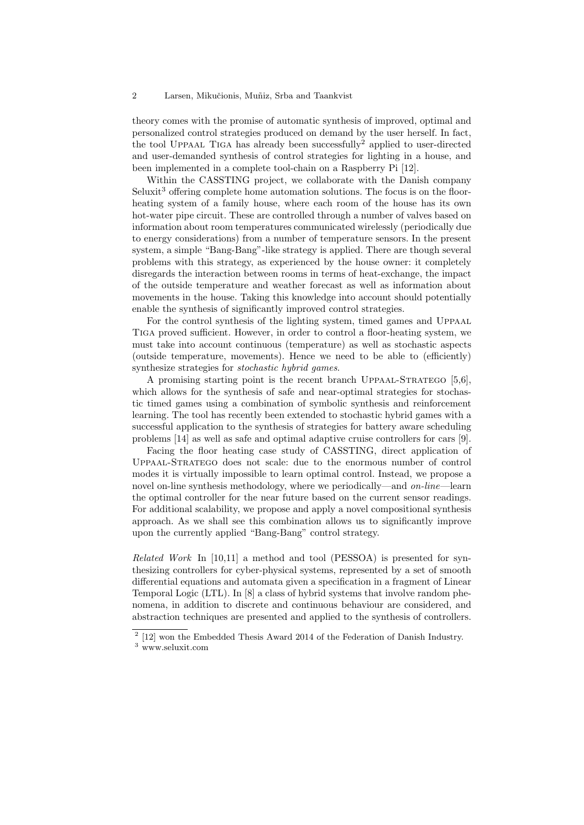#### 2 Larsen, Mikuˇcionis, Mu˜niz, Srba and Taankvist

theory comes with the promise of automatic synthesis of improved, optimal and personalized control strategies produced on demand by the user herself. In fact, the tool UPPAAL TIGA has already been successfully<sup>[2](#page-1-0)</sup> applied to user-directed and user-demanded synthesis of control strategies for lighting in a house, and been implemented in a complete tool-chain on a Raspberry Pi [\[12\]](#page-15-0).

Within the CASSTING project, we collaborate with the Danish company Seluxit<sup>[3](#page-1-1)</sup> offering complete home automation solutions. The focus is on the floorheating system of a family house, where each room of the house has its own hot-water pipe circuit. These are controlled through a number of valves based on information about room temperatures communicated wirelessly (periodically due to energy considerations) from a number of temperature sensors. In the present system, a simple "Bang-Bang"-like strategy is applied. There are though several problems with this strategy, as experienced by the house owner: it completely disregards the interaction between rooms in terms of heat-exchange, the impact of the outside temperature and weather forecast as well as information about movements in the house. Taking this knowledge into account should potentially enable the synthesis of significantly improved control strategies.

For the control synthesis of the lighting system, timed games and Uppaal Tiga proved sufficient. However, in order to control a floor-heating system, we must take into account continuous (temperature) as well as stochastic aspects (outside temperature, movements). Hence we need to be able to (efficiently) synthesize strategies for *stochastic hybrid games*.

A promising starting point is the recent branch Uppaal-Stratego [\[5](#page-15-1)[,6\]](#page-15-2), which allows for the synthesis of safe and near-optimal strategies for stochastic timed games using a combination of symbolic synthesis and reinforcement learning. The tool has recently been extended to stochastic hybrid games with a successful application to the synthesis of strategies for battery aware scheduling problems [\[14\]](#page-16-0) as well as safe and optimal adaptive cruise controllers for cars [\[9\]](#page-15-3).

Facing the floor heating case study of CASSTING, direct application of Uppaal-Stratego does not scale: due to the enormous number of control modes it is virtually impossible to learn optimal control. Instead, we propose a novel on-line synthesis methodology, where we periodically—and on-line—learn the optimal controller for the near future based on the current sensor readings. For additional scalability, we propose and apply a novel compositional synthesis approach. As we shall see this combination allows us to significantly improve upon the currently applied "Bang-Bang" control strategy.

Related Work In [\[10,](#page-15-4)[11\]](#page-15-5) a method and tool (PESSOA) is presented for synthesizing controllers for cyber-physical systems, represented by a set of smooth differential equations and automata given a specification in a fragment of Linear Temporal Logic (LTL). In [\[8\]](#page-15-6) a class of hybrid systems that involve random phenomena, in addition to discrete and continuous behaviour are considered, and abstraction techniques are presented and applied to the synthesis of controllers.

<span id="page-1-0"></span> $2$  [\[12\]](#page-15-0) won the Embedded Thesis Award 2014 of the Federation of Danish Industry.

<span id="page-1-1"></span><sup>3</sup> www.seluxit.com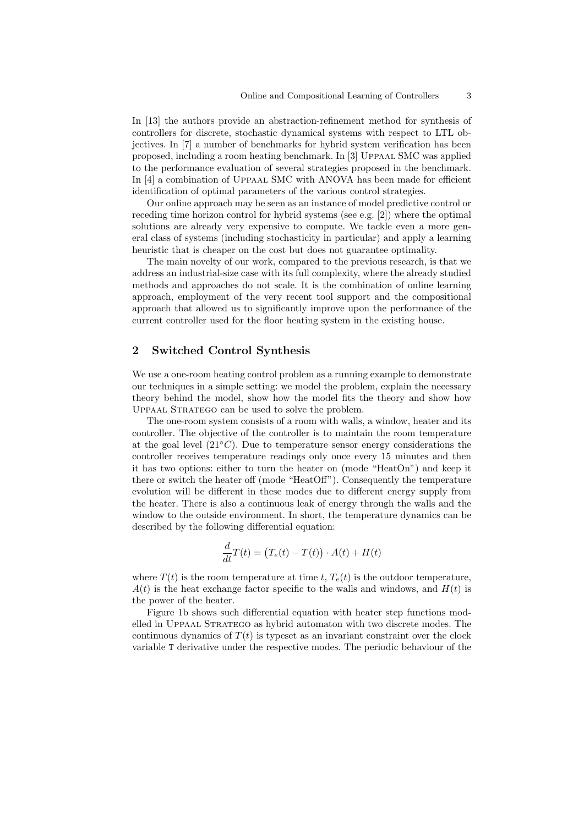In [\[13\]](#page-16-1) the authors provide an abstraction-refinement method for synthesis of controllers for discrete, stochastic dynamical systems with respect to LTL objectives. In [\[7\]](#page-15-7) a number of benchmarks for hybrid system verification has been proposed, including a room heating benchmark. In [\[3\]](#page-15-8) Uppaal SMC was applied to the performance evaluation of several strategies proposed in the benchmark. In [\[4\]](#page-15-9) a combination of UPPAAL SMC with ANOVA has been made for efficient identification of optimal parameters of the various control strategies.

Our online approach may be seen as an instance of model predictive control or receding time horizon control for hybrid systems (see e.g. [\[2\]](#page-15-10)) where the optimal solutions are already very expensive to compute. We tackle even a more general class of systems (including stochasticity in particular) and apply a learning heuristic that is cheaper on the cost but does not guarantee optimality.

The main novelty of our work, compared to the previous research, is that we address an industrial-size case with its full complexity, where the already studied methods and approaches do not scale. It is the combination of online learning approach, employment of the very recent tool support and the compositional approach that allowed us to significantly improve upon the performance of the current controller used for the floor heating system in the existing house.

# <span id="page-2-0"></span>2 Switched Control Synthesis

We use a one-room heating control problem as a running example to demonstrate our techniques in a simple setting: we model the problem, explain the necessary theory behind the model, show how the model fits the theory and show how Uppaal Stratego can be used to solve the problem.

The one-room system consists of a room with walls, a window, heater and its controller. The objective of the controller is to maintain the room temperature at the goal level  $(21°C)$ . Due to temperature sensor energy considerations the controller receives temperature readings only once every 15 minutes and then it has two options: either to turn the heater on (mode "HeatOn") and keep it there or switch the heater off (mode "HeatOff"). Consequently the temperature evolution will be different in these modes due to different energy supply from the heater. There is also a continuous leak of energy through the walls and the window to the outside environment. In short, the temperature dynamics can be described by the following differential equation:

$$
\frac{d}{dt}T(t) = (T_e(t) - T(t)) \cdot A(t) + H(t)
$$

where  $T(t)$  is the room temperature at time t,  $T<sub>e</sub>(t)$  is the outdoor temperature,  $A(t)$  is the heat exchange factor specific to the walls and windows, and  $H(t)$  is the power of the heater.

Figure [1b](#page-3-0) shows such differential equation with heater step functions modelled in Uppaal Stratego as hybrid automaton with two discrete modes. The continuous dynamics of  $T(t)$  is typeset as an invariant constraint over the clock variable T derivative under the respective modes. The periodic behaviour of the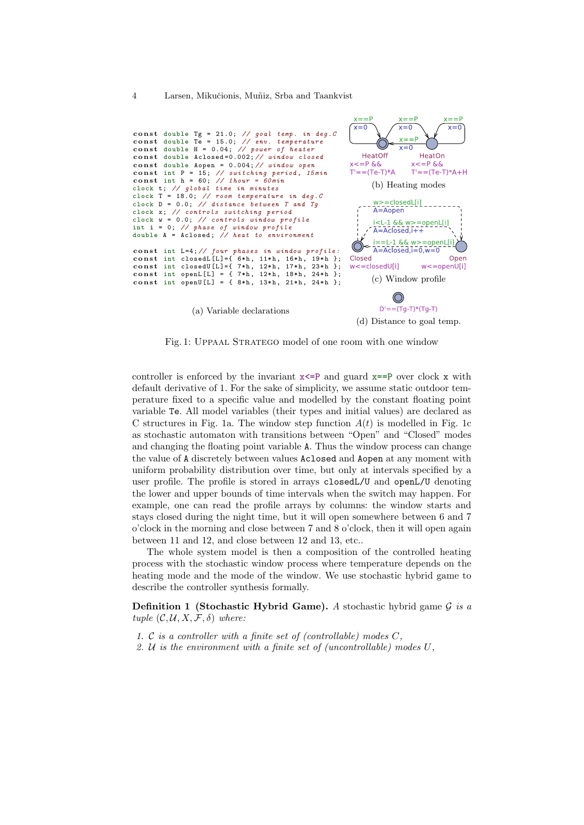<span id="page-3-0"></span>

Fig. 1: UPPAAL STRATEGO model of one room with one window

controller is enforced by the invariant  $x \leq P$  and guard  $x == P$  over clock x with default derivative of 1. For the sake of simplicity, we assume static outdoor temperature fixed to a specific value and modelled by the constant floating point variable Te. All model variables (their types and initial values) are declared as C structures in Fig. [1a.](#page-3-0) The window step function  $A(t)$  is modelled in Fig. [1c](#page-3-0) as stochastic automaton with transitions between "Open" and "Closed" modes and changing the floating point variable A. Thus the window process can change the value of A discretely between values Aclosed and Aopen at any moment with uniform probability distribution over time, but only at intervals specified by a user profile. The profile is stored in arrays closedL/U and openL/U denoting the lower and upper bounds of time intervals when the switch may happen. For example, one can read the profile arrays by columns: the window starts and stays closed during the night time, but it will open somewhere between 6 and 7 o'clock in the morning and close between 7 and 8 o'clock, then it will open again between 11 and 12, and close between 12 and 13, etc..

The whole system model is then a composition of the controlled heating process with the stochastic window process where temperature depends on the heating mode and the mode of the window. We use stochastic hybrid game to describe the controller synthesis formally.

**Definition 1 (Stochastic Hybrid Game).** A stochastic hybrid game  $\mathcal{G}$  is a tuple  $(C, U, X, \mathcal{F}, \delta)$  where:

- 1.  $\mathcal C$  is a controller with a finite set of (controllable) modes  $C$ ,
- 2. U is the environment with a finite set of (uncontrollable) modes U,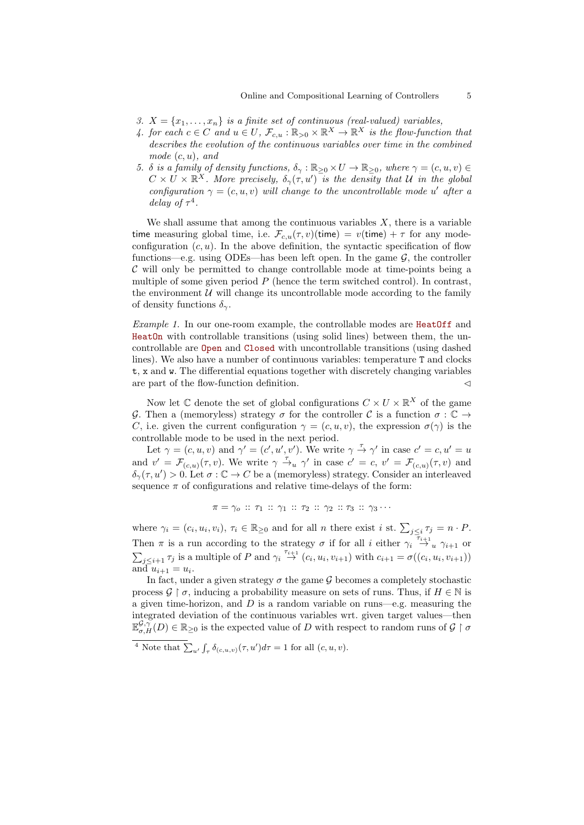- 3.  $X = \{x_1, \ldots, x_n\}$  is a finite set of continuous (real-valued) variables,
- 4. for each  $c \in C$  and  $u \in U$ ,  $\mathcal{F}_{c,u} : \mathbb{R}_{>0} \times \mathbb{R}^X \to \mathbb{R}^X$  is the flow-function that describes the evolution of the continuous variables over time in the combined mode  $(c, u)$ , and
- 5. δ is a family of density functions,  $\delta_{\gamma} : \mathbb{R}_{\geq 0} \times U \to \mathbb{R}_{\geq 0}$ , where  $\gamma = (c, u, v) \in$  $C \times U \times \mathbb{R}^X$ . More precisely,  $\delta_{\gamma}(\tau, u')$  is the density that U in the global configuration  $\gamma = (c, u, v)$  will change to the uncontrollable mode u' after a delay of  $\tau^4$  $\tau^4$ .

We shall assume that among the continuous variables  $X$ , there is a variable time measuring global time, i.e.  $\mathcal{F}_{c,u}(\tau, v)(\text{time}) = v(\text{time}) + \tau$  for any modeconfiguration  $(c, u)$ . In the above definition, the syntactic specification of flow functions—e.g. using ODEs—has been left open. In the game  $\mathcal{G}$ , the controller  $\mathcal C$  will only be permitted to change controllable mode at time-points being a multiple of some given period  $P$  (hence the term switched control). In contrast, the environment  $U$  will change its uncontrollable mode according to the family of density functions  $\delta_{\gamma}$ .

Example 1. In our one-room example, the controllable modes are HeatOff and HeatOn with controllable transitions (using solid lines) between them, the uncontrollable are Open and Closed with uncontrollable transitions (using dashed lines). We also have a number of continuous variables: temperature T and clocks t, x and w. The differential equations together with discretely changing variables are part of the flow-function definition.  $\triangleleft$ 

Now let  $\mathbb C$  denote the set of global configurations  $C \times U \times \mathbb R^X$  of the game G. Then a (memoryless) strategy  $\sigma$  for the controller C is a function  $\sigma : \mathbb{C} \to$ C, i.e. given the current configuration  $\gamma = (c, u, v)$ , the expression  $\sigma(\gamma)$  is the controllable mode to be used in the next period.

Let  $\gamma = (c, u, v)$  and  $\gamma' = (c', u', v')$ . We write  $\gamma \stackrel{\tau}{\rightarrow} \gamma'$  in case  $c' = c, u' = u$ and  $v' = \mathcal{F}_{(c,u)}(\tau, v)$ . We write  $\gamma \stackrel{\tau}{\rightarrow}_u \gamma'$  in case  $c' = c, v' = \mathcal{F}_{(c,u)}(\tau, v)$  and  $\delta_{\gamma}(\tau, u') > 0$ . Let  $\sigma : \mathbb{C} \to C$  be a (memoryless) strategy. Consider an interleaved sequence  $\pi$  of configurations and relative time-delays of the form:

$$
\pi = \gamma_o :: \tau_1 :: \gamma_1 :: \tau_2 :: \gamma_2 :: \tau_3 :: \gamma_3 ...
$$

where  $\gamma_i = (c_i, u_i, v_i), \tau_i \in \mathbb{R}_{\geq 0}$  and for all *n* there exist *i* st.  $\sum_{j \leq i} \tau_j = n \cdot P$ . Then  $\pi$  is a run according to the strategy  $\sigma$  if for all i either  $\gamma_i \stackrel{\overline{\tau}_{i+1}}{\rightarrow} u \gamma_{i+1}$  or  $\sum_{j \leq i+1} \tau_j$  is a multiple of P and  $\gamma_i \stackrel{\tau_{i+1}}{\rightarrow} (c_i, u_i, v_{i+1})$  with  $c_{i+1} = \sigma((c_i, u_i, v_{i+1}))$ and  $u_{i+1} = u_i$ .

In fact, under a given strategy  $\sigma$  the game G becomes a completely stochastic process  $\mathcal{G} \restriction \sigma$ , inducing a probability measure on sets of runs. Thus, if  $H \in \mathbb{N}$  is a given time-horizon, and  $D$  is a random variable on runs—e.g. measuring the integrated deviation of the continuous variables wrt. given target values—then  $\mathbb{E}_{\sigma,H}^{\mathcal{G},\widetilde{\gamma}}(D) \in \mathbb{R}_{\geq 0}$  is the expected value of D with respect to random runs of  $\mathcal{G} \restriction \sigma$ 

<span id="page-4-0"></span><sup>&</sup>lt;sup>4</sup> Note that  $\sum_{u'} \int_{\tau} \delta_{(c,u,v)}(\tau, u') d\tau = 1$  for all  $(c, u, v)$ .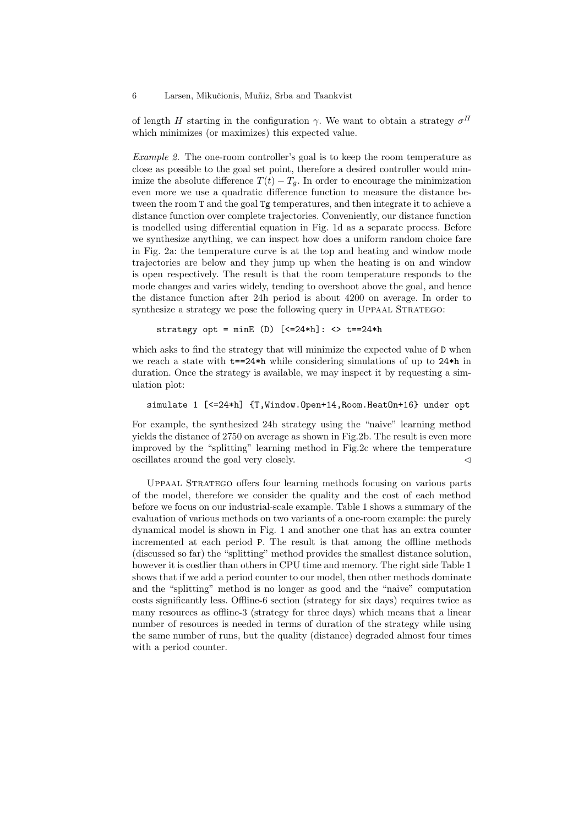of length H starting in the configuration  $\gamma$ . We want to obtain a strategy  $\sigma^H$ which minimizes (or maximizes) this expected value.

Example 2. The one-room controller's goal is to keep the room temperature as close as possible to the goal set point, therefore a desired controller would minimize the absolute difference  $T(t) - T_a$ . In order to encourage the minimization even more we use a quadratic difference function to measure the distance between the room T and the goal Tg temperatures, and then integrate it to achieve a distance function over complete trajectories. Conveniently, our distance function is modelled using differential equation in Fig. [1d](#page-3-0) as a separate process. Before we synthesize anything, we can inspect how does a uniform random choice fare in Fig. [2a:](#page-6-0) the temperature curve is at the top and heating and window mode trajectories are below and they jump up when the heating is on and window is open respectively. The result is that the room temperature responds to the mode changes and varies widely, tending to overshoot above the goal, and hence the distance function after 24h period is about 4200 on average. In order to synthesize a strategy we pose the following query in UPPAAL STRATEGO:

strategy opt = minE (D)  $[<=24*h]$ : <> t==24\*h

which asks to find the strategy that will minimize the expected value of  $D$  when we reach a state with t==24\*h while considering simulations of up to 24\*h in duration. Once the strategy is available, we may inspect it by requesting a simulation plot:

simulate 1 [<=24\*h] {T,Window.Open+14,Room.HeatOn+16} under opt

For example, the synthesized 24h strategy using the "naive" learning method yields the distance of 2750 on average as shown in Fig[.2b.](#page-6-0) The result is even more improved by the "splitting" learning method in Fig[.2c](#page-6-0) where the temperature  $\alpha$  oscillates around the goal very closely.

Uppaal Stratego offers four learning methods focusing on various parts of the model, therefore we consider the quality and the cost of each method before we focus on our industrial-scale example. Table [1](#page-7-0) shows a summary of the evaluation of various methods on two variants of a one-room example: the purely dynamical model is shown in Fig. [1](#page-3-0) and another one that has an extra counter incremented at each period P. The result is that among the offline methods (discussed so far) the "splitting" method provides the smallest distance solution, however it is costlier than others in CPU time and memory. The right side Table [1](#page-7-0) shows that if we add a period counter to our model, then other methods dominate and the "splitting" method is no longer as good and the "naive" computation costs significantly less. Offline-6 section (strategy for six days) requires twice as many resources as offline-3 (strategy for three days) which means that a linear number of resources is needed in terms of duration of the strategy while using the same number of runs, but the quality (distance) degraded almost four times with a period counter.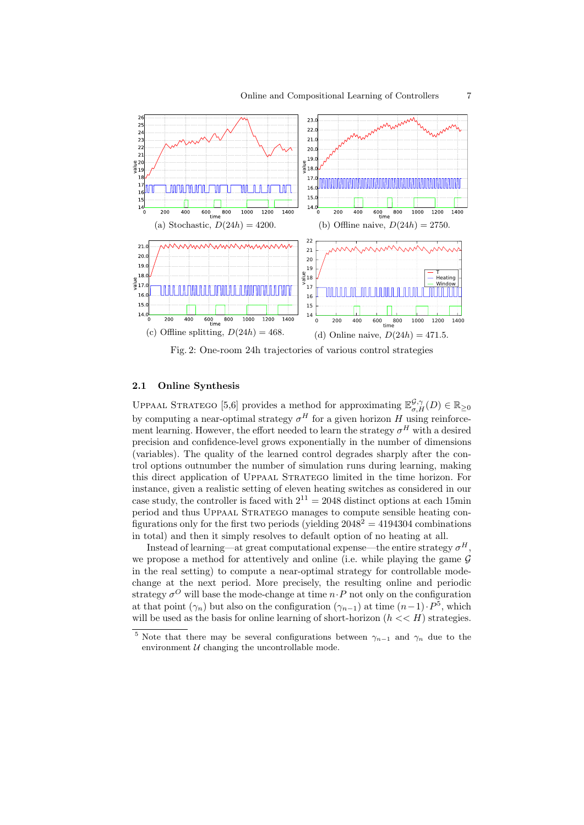<span id="page-6-0"></span>

Fig. 2: One-room 24h trajectories of various control strategies

### 2.1 Online Synthesis

UPPAAL STRATEGO [\[5,](#page-15-1)[6\]](#page-15-2) provides a method for approximating  $\mathbb{E}^{\mathcal{G},\gamma}_{\sigma,H}(D) \in \mathbb{R}_{\geq 0}$ by computing a near-optimal strategy  $\sigma^H$  for a given horizon H using reinforcement learning. However, the effort needed to learn the strategy  $\sigma^H$  with a desired precision and confidence-level grows exponentially in the number of dimensions (variables). The quality of the learned control degrades sharply after the control options outnumber the number of simulation runs during learning, making this direct application of Uppaal Stratego limited in the time horizon. For instance, given a realistic setting of eleven heating switches as considered in our case study, the controller is faced with  $2^{11} = 2048$  distinct options at each 15min period and thus Uppaal Stratego manages to compute sensible heating configurations only for the first two periods (yielding  $2048^2 = 4194304$  combinations in total) and then it simply resolves to default option of no heating at all.

Instead of learning—at great computational expense—the entire strategy  $\sigma^H$ , we propose a method for attentively and online (i.e. while playing the game  $\mathcal G$ in the real setting) to compute a near-optimal strategy for controllable modechange at the next period. More precisely, the resulting online and periodic strategy  $\sigma^O$  will base the mode-change at time  $n \cdot P$  not only on the configuration at that point  $(\gamma_n)$  but also on the configuration  $(\gamma_{n-1})$  at time  $(n-1) \cdot P^5$  $(n-1) \cdot P^5$ , which will be used as the basis for online learning of short-horizon  $(h \ll H)$  strategies.

<span id="page-6-1"></span><sup>&</sup>lt;sup>5</sup> Note that there may be several configurations between  $\gamma_{n-1}$  and  $\gamma_n$  due to the environment  $U$  changing the uncontrollable mode.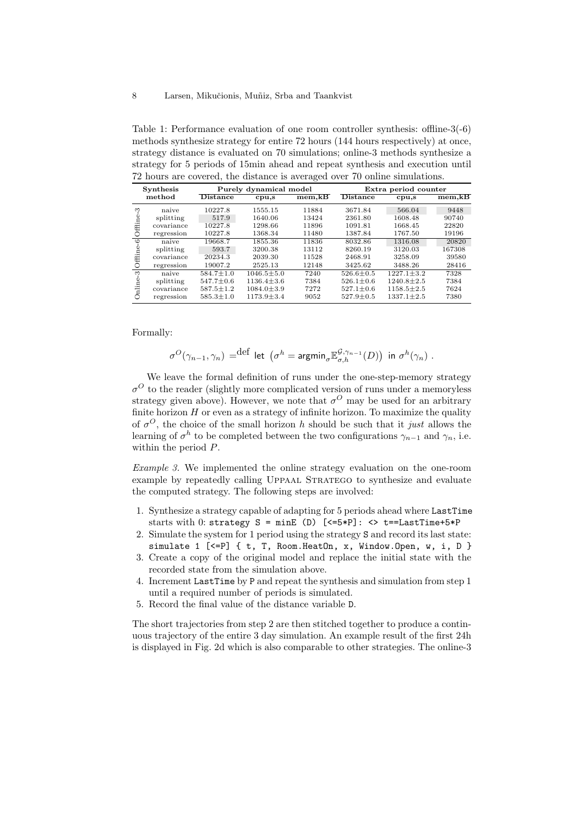<span id="page-7-0"></span>Table 1: Performance evaluation of one room controller synthesis: offline-3(-6) methods synthesize strategy for entire 72 hours (144 hours respectively) at once, strategy distance is evaluated on 70 simulations; online-3 methods synthesize a strategy for 5 periods of 15min ahead and repeat synthesis and execution until 72 hours are covered, the distance is averaged over 70 online simulations.

| Synthesis<br>method |            | Purely dynamical model |                  |        | Extra period counter |                  |        |
|---------------------|------------|------------------------|------------------|--------|----------------------|------------------|--------|
|                     |            | <b>Distance</b>        | cpu,s            | mem,kB | <b>Distance</b>      | cpu,s            | mem,kB |
| S<br>ffiin          | naive      | 10227.8                | 1555.15          | 11884  | 3671.84              | 566.04           | 9448   |
|                     | splitting  | 517.9                  | 1640.06          | 13424  | 2361.80              | 1608.48          | 90740  |
|                     | covariance | 10227.8                | 1298.66          | 11896  | 1091.81              | 1668.45          | 22820  |
|                     | regression | 10227.8                | 1368.34          | 11480  | 1387.84              | 1767.50          | 19196  |
| $\circ$<br>Offline  | naive      | 19668.7                | 1855.36          | 11836  | 8032.86              | 1316.08          | 20820  |
|                     | splitting  | 593.7                  | 3200.38          | 13112  | 8260.19              | 3120.03          | 167308 |
|                     | covariance | 20234.3                | 2039.30          | 11528  | 2468.91              | 3258.09          | 39580  |
|                     | regression | 19007.2                | 2525.13          | 12148  | 3425.62              | 3488.26          | 28416  |
| S<br>nline          | naive      | $584.7 \pm 1.0$        | $1046.5 \pm 5.0$ | 7240   | $526.6 \pm 0.5$      | $1227.1 \pm 3.2$ | 7328   |
|                     | splitting  | $547.7 \pm 0.6$        | $1136.4 \pm 3.6$ | 7384   | $526.1 \pm 0.6$      | $1240.8 \pm 2.5$ | 7384   |
|                     | covariance | $587.5 \pm 1.2$        | $1084.0 \pm 3.9$ | 7272   | $527.1 \pm 0.6$      | $1158.5 \pm 2.5$ | 7624   |
|                     | regression | $585.3 \pm 1.0$        | $1173.9 \pm 3.4$ | 9052   | $527.9 \pm 0.5$      | $1337.1 \pm 2.5$ | 7380   |

Formally:

$$
\sigma^O(\gamma_{n-1}, \gamma_n) \, =^{\text{def}} \, \mathsf{let} \ \left( \sigma^h = \mathsf{argmin}_\sigma \mathbb{E}^{\mathcal{G}, \gamma_{n-1}}_{\sigma, h}(D) \right) \ \mathsf{in} \ \sigma^h(\gamma_n) \; .
$$

We leave the formal definition of runs under the one-step-memory strategy  $\sigma^O$  to the reader (slightly more complicated version of runs under a memoryless strategy given above). However, we note that  $\sigma^O$  may be used for an arbitrary finite horizon  $H$  or even as a strategy of infinite horizon. To maximize the quality of  $\sigma^O$ , the choice of the small horizon h should be such that it just allows the learning of  $\sigma^h$  to be completed between the two configurations  $\gamma_{n-1}$  and  $\gamma_n$ , i.e. within the period P.

Example 3. We implemented the online strategy evaluation on the one-room example by repeatedly calling UPPAAL STRATEGO to synthesize and evaluate the computed strategy. The following steps are involved:

- 1. Synthesize a strategy capable of adapting for 5 periods ahead where LastTime starts with 0: strategy  $S = minE$  (D)  $[\langle=5*P]:$   $\langle\rangle$  t==LastTime+5\*P
- 2. Simulate the system for 1 period using the strategy S and record its last state: simulate 1 [<=P] { t, T, Room. HeatOn, x, Window. Open, w, i, D }
- 3. Create a copy of the original model and replace the initial state with the recorded state from the simulation above.
- 4. Increment LastTime by P and repeat the synthesis and simulation from step 1 until a required number of periods is simulated.
- 5. Record the final value of the distance variable D.

The short trajectories from step 2 are then stitched together to produce a continuous trajectory of the entire 3 day simulation. An example result of the first 24h is displayed in Fig. [2d](#page-6-0) which is also comparable to other strategies. The online-3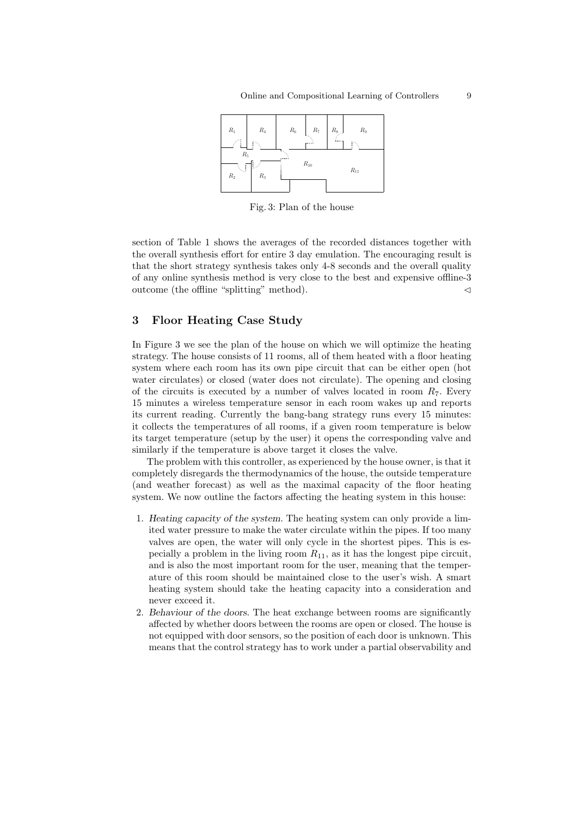<span id="page-8-0"></span>

Fig. 3: Plan of the house

section of Table [1](#page-7-0) shows the averages of the recorded distances together with the overall synthesis effort for entire 3 day emulation. The encouraging result is that the short strategy synthesis takes only 4-8 seconds and the overall quality of any online synthesis method is very close to the best and expensive offline-3 outcome (the offline "splitting" method).

# 3 Floor Heating Case Study

In Figure [3](#page-8-0) we see the plan of the house on which we will optimize the heating strategy. The house consists of 11 rooms, all of them heated with a floor heating system where each room has its own pipe circuit that can be either open (hot water circulates) or closed (water does not circulate). The opening and closing of the circuits is executed by a number of valves located in room  $R_7$ . Every 15 minutes a wireless temperature sensor in each room wakes up and reports its current reading. Currently the bang-bang strategy runs every 15 minutes: it collects the temperatures of all rooms, if a given room temperature is below its target temperature (setup by the user) it opens the corresponding valve and similarly if the temperature is above target it closes the valve.

The problem with this controller, as experienced by the house owner, is that it completely disregards the thermodynamics of the house, the outside temperature (and weather forecast) as well as the maximal capacity of the floor heating system. We now outline the factors affecting the heating system in this house:

- 1. Heating capacity of the system. The heating system can only provide a limited water pressure to make the water circulate within the pipes. If too many valves are open, the water will only cycle in the shortest pipes. This is especially a problem in the living room  $R_{11}$ , as it has the longest pipe circuit, and is also the most important room for the user, meaning that the temperature of this room should be maintained close to the user's wish. A smart heating system should take the heating capacity into a consideration and never exceed it.
- 2. Behaviour of the doors. The heat exchange between rooms are significantly affected by whether doors between the rooms are open or closed. The house is not equipped with door sensors, so the position of each door is unknown. This means that the control strategy has to work under a partial observability and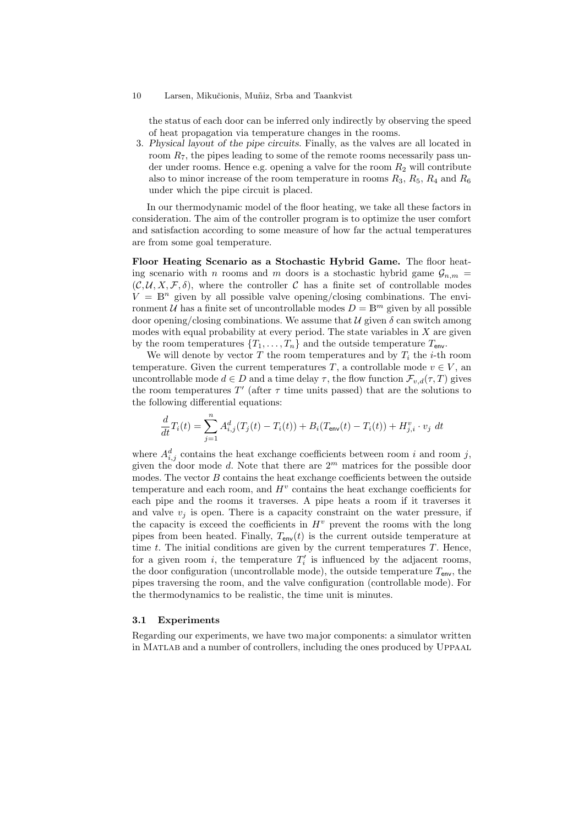#### 10 Larsen, Mikučionis, Muñiz, Srba and Taankvist

the status of each door can be inferred only indirectly by observing the speed of heat propagation via temperature changes in the rooms.

3. Physical layout of the pipe circuits. Finally, as the valves are all located in room  $R_7$ , the pipes leading to some of the remote rooms necessarily pass under under rooms. Hence e.g. opening a valve for the room  $R_2$  will contribute also to minor increase of the room temperature in rooms  $R_3, R_5, R_4$  and  $R_6$ under which the pipe circuit is placed.

In our thermodynamic model of the floor heating, we take all these factors in consideration. The aim of the controller program is to optimize the user comfort and satisfaction according to some measure of how far the actual temperatures are from some goal temperature.

Floor Heating Scenario as a Stochastic Hybrid Game. The floor heating scenario with n rooms and m doors is a stochastic hybrid game  $\mathcal{G}_{n,m}$  =  $(C, U, X, \mathcal{F}, \delta)$ , where the controller C has a finite set of controllable modes  $V = \mathbb{B}^n$  given by all possible valve opening/closing combinations. The environment U has a finite set of uncontrollable modes  $D = \mathbb{B}^m$  given by all possible door opening/closing combinations. We assume that  $\mathcal U$  given  $\delta$  can switch among modes with equal probability at every period. The state variables in  $X$  are given by the room temperatures  $\{T_1, \ldots, T_n\}$  and the outside temperature  $T_{env}$ .

We will denote by vector  $T$  the room temperatures and by  $T_i$  the *i*-th room temperature. Given the current temperatures T, a controllable mode  $v \in V$ , and uncontrollable mode  $d \in D$  and a time delay  $\tau$ , the flow function  $\mathcal{F}_{v,d}(\tau,T)$  gives the room temperatures  $T'$  (after  $\tau$  time units passed) that are the solutions to the following differential equations:

$$
\frac{d}{dt}T_i(t) = \sum_{j=1}^n A_{i,j}^d(T_j(t) - T_i(t)) + B_i(T_{\text{env}}(t) - T_i(t)) + H_{j,i}^v \cdot v_j dt
$$

where  $A_{i,j}^d$  contains the heat exchange coefficients between room i and room j, given the door mode d. Note that there are  $2<sup>m</sup>$  matrices for the possible door modes. The vector  $B$  contains the heat exchange coefficients between the outside temperature and each room, and  $H^v$  contains the heat exchange coefficients for each pipe and the rooms it traverses. A pipe heats a room if it traverses it and valve  $v_j$  is open. There is a capacity constraint on the water pressure, if the capacity is exceed the coefficients in  $H<sup>v</sup>$  prevent the rooms with the long pipes from been heated. Finally,  $T_{env}(t)$  is the current outside temperature at time  $t$ . The initial conditions are given by the current temperatures  $T$ . Hence, for a given room *i*, the temperature  $T_i'$  is influenced by the adjacent rooms, the door configuration (uncontrollable mode), the outside temperature  $T_{env}$ , the pipes traversing the room, and the valve configuration (controllable mode). For the thermodynamics to be realistic, the time unit is minutes.

#### 3.1 Experiments

Regarding our experiments, we have two major components: a simulator written in Matlab and a number of controllers, including the ones produced by Uppaal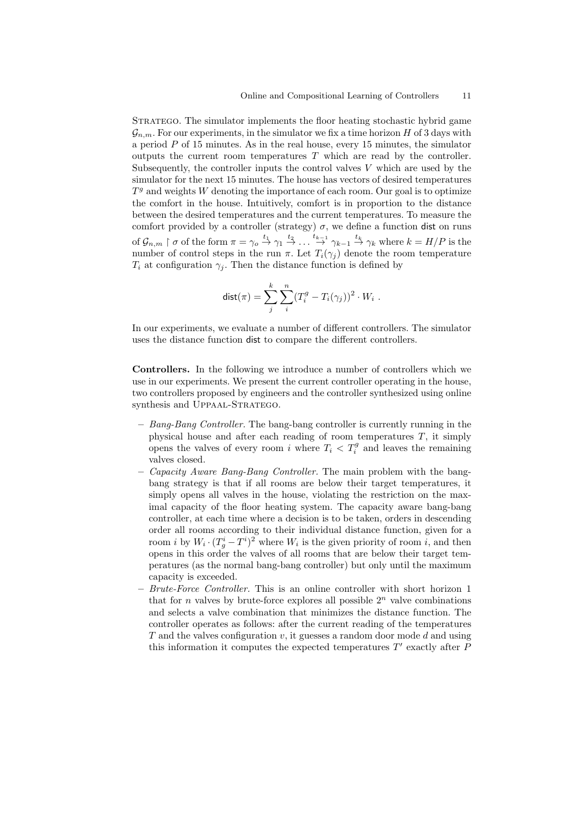Stratego. The simulator implements the floor heating stochastic hybrid game  $\mathcal{G}_{n,m}$ . For our experiments, in the simulator we fix a time horizon H of 3 days with a period  $P$  of 15 minutes. As in the real house, every 15 minutes, the simulator outputs the current room temperatures  $T$  which are read by the controller. Subsequently, the controller inputs the control valves  $V$  which are used by the simulator for the next 15 minutes. The house has vectors of desired temperatures  $T<sup>g</sup>$  and weights W denoting the importance of each room. Our goal is to optimize the comfort in the house. Intuitively, comfort is in proportion to the distance between the desired temperatures and the current temperatures. To measure the comfort provided by a controller (strategy)  $\sigma$ , we define a function dist on runs of  $\mathcal{G}_{n,m} \restriction \sigma$  of the form  $\pi = \gamma_o \stackrel{t_1}{\to} \gamma_1 \stackrel{t_2}{\to} \ldots \stackrel{t_{k-1}}{\to} \gamma_{k-1} \stackrel{t_k}{\to} \gamma_k$  where  $k = H/P$  is the number of control steps in the run  $\pi$ . Let  $T_i(\gamma_j)$  denote the room temperature  $T_i$  at configuration  $\gamma_j$ . Then the distance function is defined by

$$
\operatorname{dist}(\pi) = \sum_{j}^{k} \sum_{i}^{n} (T_i^g - T_i(\gamma_j))^2 \cdot W_i.
$$

In our experiments, we evaluate a number of different controllers. The simulator uses the distance function dist to compare the different controllers.

Controllers. In the following we introduce a number of controllers which we use in our experiments. We present the current controller operating in the house, two controllers proposed by engineers and the controller synthesized using online synthesis and UPPAAL-STRATEGO.

- $-$  Bang-Bang Controller. The bang-bang controller is currently running in the physical house and after each reading of room temperatures  $T$ , it simply opens the valves of every room i where  $T_i < T_i^g$  and leaves the remaining valves closed.
- Capacity Aware Bang-Bang Controller. The main problem with the bangbang strategy is that if all rooms are below their target temperatures, it simply opens all valves in the house, violating the restriction on the maximal capacity of the floor heating system. The capacity aware bang-bang controller, at each time where a decision is to be taken, orders in descending order all rooms according to their individual distance function, given for a room *i* by  $W_i \cdot (T_g^i - T_i^i)^2$  where  $W_i$  is the given priority of room *i*, and then opens in this order the valves of all rooms that are below their target temperatures (as the normal bang-bang controller) but only until the maximum capacity is exceeded.
- Brute-Force Controller. This is an online controller with short horizon 1 that for *n* valves by brute-force explores all possible  $2^n$  valve combinations and selects a valve combination that minimizes the distance function. The controller operates as follows: after the current reading of the temperatures  $T$  and the valves configuration  $v$ , it guesses a random door mode  $d$  and using this information it computes the expected temperatures  $T'$  exactly after  $P$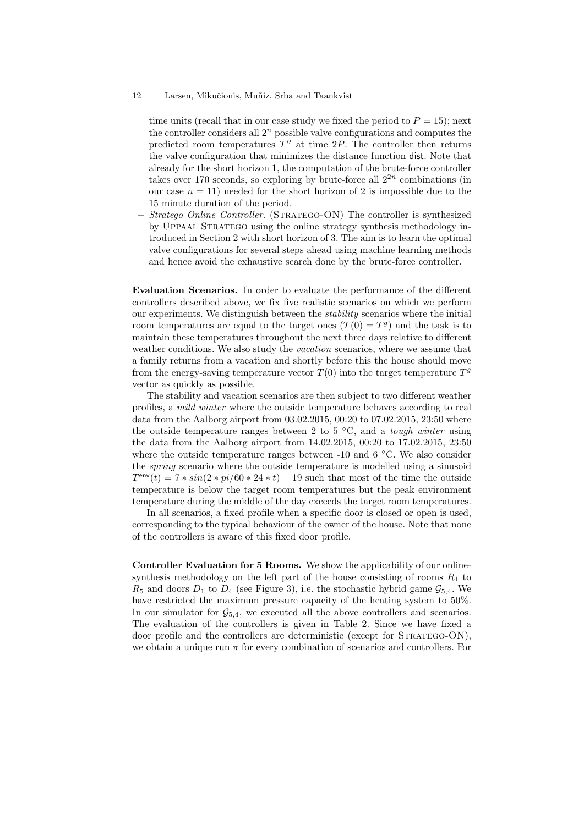#### 12 Larsen, Mikučionis, Muñiz, Srba and Taankvist

time units (recall that in our case study we fixed the period to  $P = 15$ ); next the controller considers all  $2<sup>n</sup>$  possible valve configurations and computes the predicted room temperatures  $T''$  at time  $2P$ . The controller then returns the valve configuration that minimizes the distance function dist. Note that already for the short horizon 1, the computation of the brute-force controller takes over 170 seconds, so exploring by brute-force all  $2^{2n}$  combinations (in our case  $n = 11$ ) needed for the short horizon of 2 is impossible due to the 15 minute duration of the period.

– Stratego Online Controller. (Stratego-ON) The controller is synthesized by Uppaal Stratego using the online strategy synthesis methodology introduced in Section [2](#page-2-0) with short horizon of 3. The aim is to learn the optimal valve configurations for several steps ahead using machine learning methods and hence avoid the exhaustive search done by the brute-force controller.

<span id="page-11-0"></span>Evaluation Scenarios. In order to evaluate the performance of the different controllers described above, we fix five realistic scenarios on which we perform our experiments. We distinguish between the stability scenarios where the initial room temperatures are equal to the target ones  $(T(0) = T<sup>g</sup>)$  and the task is to maintain these temperatures throughout the next three days relative to different weather conditions. We also study the vacation scenarios, where we assume that a family returns from a vacation and shortly before this the house should move from the energy-saving temperature vector  $T(0)$  into the target temperature  $T<sup>g</sup>$ vector as quickly as possible.

The stability and vacation scenarios are then subject to two different weather profiles, a mild winter where the outside temperature behaves according to real data from the Aalborg airport from 03.02.2015, 00:20 to 07.02.2015, 23:50 where the outside temperature ranges between 2 to 5  $\degree$ C, and a tough winter using the data from the Aalborg airport from 14.02.2015, 00:20 to 17.02.2015, 23:50 where the outside temperature ranges between -10 and 6 ◦C. We also consider the spring scenario where the outside temperature is modelled using a sinusoid  $T<sup>env</sup>(t) = 7 * sin(2 * pi/60 * 24 * t) + 19$  such that most of the time the outside temperature is below the target room temperatures but the peak environment temperature during the middle of the day exceeds the target room temperatures.

In all scenarios, a fixed profile when a specific door is closed or open is used, corresponding to the typical behaviour of the owner of the house. Note that none of the controllers is aware of this fixed door profile.

Controller Evaluation for 5 Rooms. We show the applicability of our onlinesynthesis methodology on the left part of the house consisting of rooms  $R_1$  to  $R_5$  and doors  $D_1$  to  $D_4$  (see Figure [3\)](#page-8-0), i.e. the stochastic hybrid game  $\mathcal{G}_{5,4}$ . We have restricted the maximum pressure capacity of the heating system to 50%. In our simulator for  $\mathcal{G}_{5,4}$ , we executed all the above controllers and scenarios. The evaluation of the controllers is given in Table [2.](#page-12-0) Since we have fixed a door profile and the controllers are deterministic (except for STRATEGO-ON), we obtain a unique run  $\pi$  for every combination of scenarios and controllers. For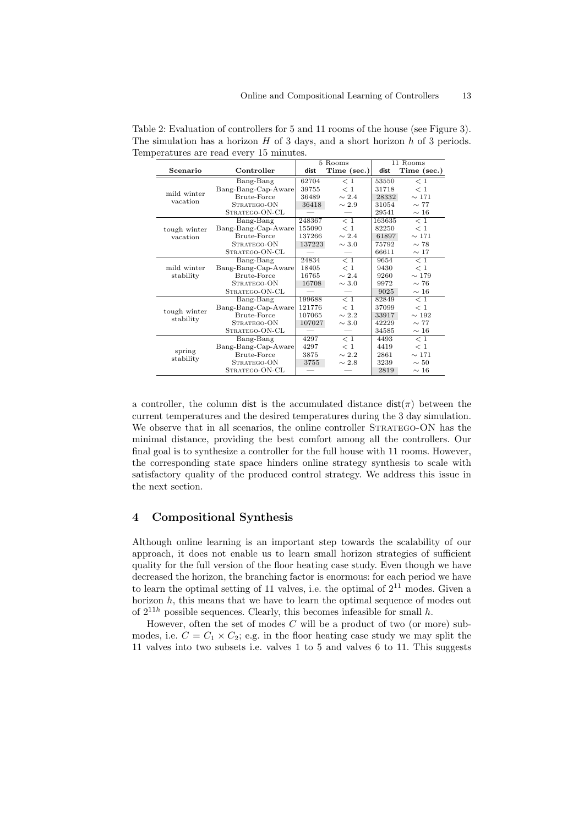|              |                     |        | 5 Rooms         |        | 11 Rooms    |  |
|--------------|---------------------|--------|-----------------|--------|-------------|--|
| Scenario     | Controller          | dist   | Time (sec.)     | dist   | Time (sec.) |  |
|              | Bang-Bang           | 62704  | < 1             | 53550  | $\leq 1$    |  |
|              | Bang-Bang-Cap-Aware | 39755  | < 1             | 31718  | < 1         |  |
| mild winter  | <b>Brute-Force</b>  | 36489  | $\sim 2.4$      | 28332  | $\sim$ 171  |  |
| vacation     | STRATEGO-ON         | 36418  | $\sim 2.9$      | 31054  | $\sim 77$   |  |
|              | STRATEGO-ON-CL      |        |                 | 29541  | $\sim$ 16   |  |
|              | Bang-Bang           | 248367 | $\overline{<1}$ | 163635 | < 1         |  |
| tough winter | Bang-Bang-Cap-Aware | 155090 | < 1             | 82250  | < 1         |  |
| vacation     | <b>Brute-Force</b>  | 137266 | $\sim 2.4$      | 61897  | $\sim$ 171  |  |
|              | STRATEGO-ON         | 137223 | $\sim 3.0$      | 75792  | $\sim 78$   |  |
|              | STRATEGO-ON-CL      |        |                 | 66611  | $\sim 17$   |  |
|              | Bang-Bang           | 24834  | < 1             | 9654   | < 1         |  |
| mild winter  | Bang-Bang-Cap-Aware | 18405  | < 1             | 9430   | < 1         |  |
| stability    | <b>Brute-Force</b>  | 16765  | $\sim 2.4$      | 9260   | $\sim$ 179  |  |
|              | STRATEGO-ON         | 16708  | $\sim 3.0$      | 9972   | $\sim 76$   |  |
|              | STRATEGO-ON-CL      |        |                 | 9025   | $\sim$ 16   |  |
|              | Bang-Bang           | 199688 | $\lt 1$         | 82849  | < 1         |  |
| tough winter | Bang-Bang-Cap-Aware | 121776 | < 1             | 37099  | < 1         |  |
| stability    | <b>Brute-Force</b>  | 107065 | $\sim 2.2$      | 33917  | $\sim 192$  |  |
|              | STRATEGO-ON         | 107027 | $\sim 3.0$      | 42229  | $\sim 77$   |  |
|              | STRATEGO-ON-CL      |        |                 | 34585  | $\sim$ 16   |  |
|              | Bang-Bang           | 4297   | $\overline{<1}$ | 4493   | $\leq 1$    |  |
| spring       | Bang-Bang-Cap-Aware | 4297   | < 1             | 4419   | < 1         |  |
|              | <b>Brute-Force</b>  | 3875   | $\sim 2.2$      | 2861   | $\sim 171$  |  |
| stability    | STRATEGO-ON         | 3755   | $\sim 2.8$      | 3239   | $\sim 50$   |  |
|              | STRATEGO-ON-CL      |        |                 | 2819   | $\sim$ 16   |  |

<span id="page-12-0"></span>Table 2: Evaluation of controllers for 5 and 11 rooms of the house (see Figure [3\)](#page-8-0). The simulation has a horizon  $H$  of 3 days, and a short horizon  $h$  of 3 periods. Temperatures are read every 15 minutes.

a controller, the column dist is the accumulated distance  $dist(\pi)$  between the current temperatures and the desired temperatures during the 3 day simulation. We observe that in all scenarios, the online controller STRATEGO-ON has the minimal distance, providing the best comfort among all the controllers. Our final goal is to synthesize a controller for the full house with 11 rooms. However, the corresponding state space hinders online strategy synthesis to scale with satisfactory quality of the produced control strategy. We address this issue in the next section.

## 4 Compositional Synthesis

Although online learning is an important step towards the scalability of our approach, it does not enable us to learn small horizon strategies of sufficient quality for the full version of the floor heating case study. Even though we have decreased the horizon, the branching factor is enormous: for each period we have to learn the optimal setting of 11 valves, i.e. the optimal of  $2^{11}$  modes. Given a horizon  $h$ , this means that we have to learn the optimal sequence of modes out of  $2^{11h}$  possible sequences. Clearly, this becomes infeasible for small h.

However, often the set of modes  $C$  will be a product of two (or more) submodes, i.e.  $C = C_1 \times C_2$ ; e.g. in the floor heating case study we may split the 11 valves into two subsets i.e. valves 1 to 5 and valves 6 to 11. This suggests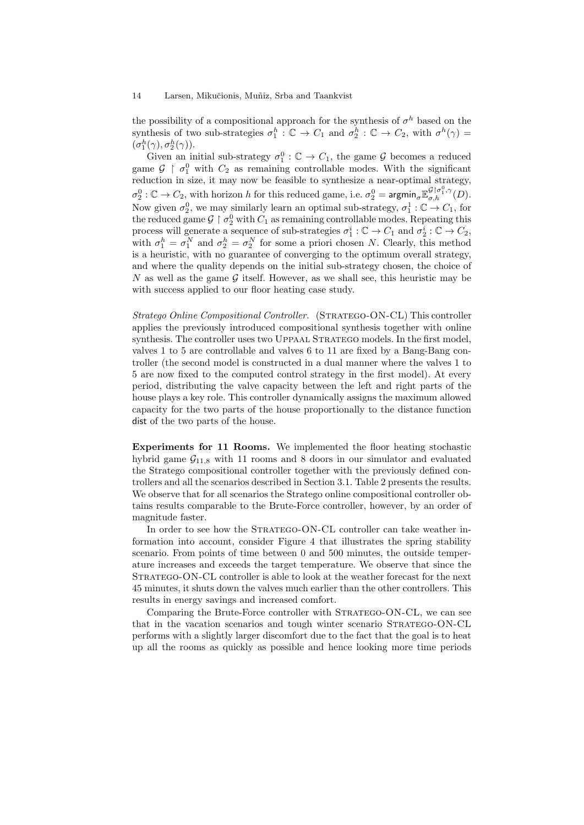### 14 Larsen, Mikučionis, Muñiz, Srba and Taankvist

the possibility of a compositional approach for the synthesis of  $\sigma^h$  based on the synthesis of two sub-strategies  $\sigma_1^h : \mathbb{C} \to C_1$  and  $\sigma_2^h : \mathbb{C} \to C_2$ , with  $\sigma^h(\gamma) =$  $(\sigma_1^h(\gamma), \sigma_2^h(\gamma)).$ 

Given an initial sub-strategy  $\sigma_1^0$ :  $\mathbb{C} \to C_1$ , the game  $\mathcal G$  becomes a reduced game  $\mathcal{G} \restriction \sigma_1^0$  with  $C_2$  as remaining controllable modes. With the significant reduction in size, it may now be feasible to synthesize a near-optimal strategy,  $\sigma_2^0: \mathbb{C} \to C_2$ , with horizon h for this reduced game, i.e.  $\sigma_2^0 = \text{argmin}_{\sigma, h} \mathbb{E}_{\sigma, h}^{\mathcal{G} \dagger \sigma_1^0, \gamma}(D)$ . Now given  $\sigma_2^0$ , we may similarly learn an optimal sub-strategy,  $\sigma_1^1 : \mathbb{C} \to C_1$ , for the reduced game  $\mathcal{G} \restriction \sigma_2^0$  with  $C_1$  as remaining controllable modes. Repeating this process will generate a sequence of sub-strategies  $\sigma_1^i : \mathbb{C} \to C_1$  and  $\sigma_2^i : \mathbb{C} \to C_2$ , with  $\sigma_1^h = \sigma_1^N$  and  $\sigma_2^h = \sigma_2^N$  for some a priori chosen N. Clearly, this method is a heuristic, with no guarantee of converging to the optimum overall strategy, and where the quality depends on the initial sub-strategy chosen, the choice of N as well as the game  $\mathcal G$  itself. However, as we shall see, this heuristic may be with success applied to our floor heating case study.

Stratego Online Compositional Controller. (STRATEGO-ON-CL) This controller applies the previously introduced compositional synthesis together with online synthesis. The controller uses two UPPAAL STRATEGO models. In the first model, valves 1 to 5 are controllable and valves 6 to 11 are fixed by a Bang-Bang controller (the second model is constructed in a dual manner where the valves 1 to 5 are now fixed to the computed control strategy in the first model). At every period, distributing the valve capacity between the left and right parts of the house plays a key role. This controller dynamically assigns the maximum allowed capacity for the two parts of the house proportionally to the distance function dist of the two parts of the house.

Experiments for 11 Rooms. We implemented the floor heating stochastic hybrid game  $\mathcal{G}_{11,8}$  with 11 rooms and 8 doors in our simulator and evaluated the Stratego compositional controller together with the previously defined controllers and all the scenarios described in Section [3.1.](#page-11-0) Table [2](#page-12-0) presents the results. We observe that for all scenarios the Stratego online compositional controller obtains results comparable to the Brute-Force controller, however, by an order of magnitude faster.

In order to see how the STRATEGO-ON-CL controller can take weather information into account, consider Figure [4](#page-14-0) that illustrates the spring stability scenario. From points of time between 0 and 500 minutes, the outside temperature increases and exceeds the target temperature. We observe that since the Stratego-ON-CL controller is able to look at the weather forecast for the next 45 minutes, it shuts down the valves much earlier than the other controllers. This results in energy savings and increased comfort.

Comparing the Brute-Force controller with Stratego-ON-CL, we can see that in the vacation scenarios and tough winter scenario Stratego-ON-CL performs with a slightly larger discomfort due to the fact that the goal is to heat up all the rooms as quickly as possible and hence looking more time periods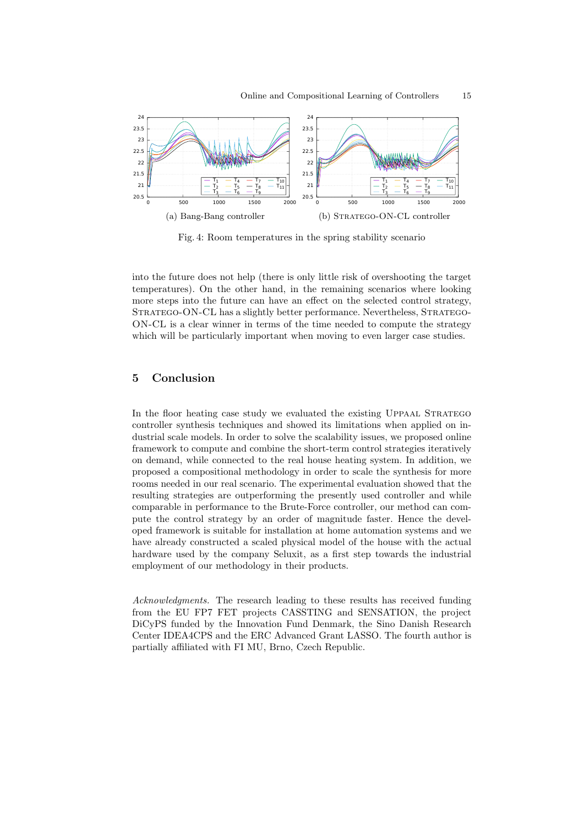<span id="page-14-0"></span>

Fig. 4: Room temperatures in the spring stability scenario

into the future does not help (there is only little risk of overshooting the target temperatures). On the other hand, in the remaining scenarios where looking more steps into the future can have an effect on the selected control strategy, Stratego-ON-CL has a slightly better performance. Nevertheless, Stratego-ON-CL is a clear winner in terms of the time needed to compute the strategy which will be particularly important when moving to even larger case studies.

### 5 Conclusion

In the floor heating case study we evaluated the existing UPPAAL STRATEGO controller synthesis techniques and showed its limitations when applied on industrial scale models. In order to solve the scalability issues, we proposed online framework to compute and combine the short-term control strategies iteratively on demand, while connected to the real house heating system. In addition, we proposed a compositional methodology in order to scale the synthesis for more rooms needed in our real scenario. The experimental evaluation showed that the resulting strategies are outperforming the presently used controller and while comparable in performance to the Brute-Force controller, our method can compute the control strategy by an order of magnitude faster. Hence the developed framework is suitable for installation at home automation systems and we have already constructed a scaled physical model of the house with the actual hardware used by the company Seluxit, as a first step towards the industrial employment of our methodology in their products.

Acknowledgments. The research leading to these results has received funding from the EU FP7 FET projects CASSTING and SENSATION, the project DiCyPS funded by the Innovation Fund Denmark, the Sino Danish Research Center IDEA4CPS and the ERC Advanced Grant LASSO. The fourth author is partially affiliated with FI MU, Brno, Czech Republic.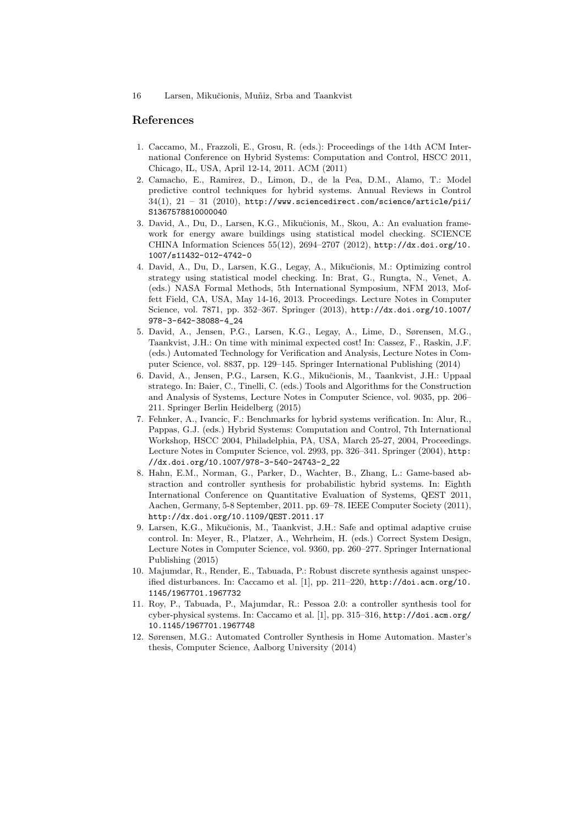### References

- <span id="page-15-11"></span>1. Caccamo, M., Frazzoli, E., Grosu, R. (eds.): Proceedings of the 14th ACM International Conference on Hybrid Systems: Computation and Control, HSCC 2011, Chicago, IL, USA, April 12-14, 2011. ACM (2011)
- <span id="page-15-10"></span>2. Camacho, E., Ramirez, D., Limon, D., de la Pea, D.M., Alamo, T.: Model predictive control techniques for hybrid systems. Annual Reviews in Control  $34(1), 21 - 31$  (2010), [http://www.sciencedirect.com/science/article/pii/](http://www.sciencedirect.com/science/article/pii/S1367578810000040) [S1367578810000040](http://www.sciencedirect.com/science/article/pii/S1367578810000040)
- <span id="page-15-8"></span>3. David, A., Du, D., Larsen, K.G., Mikučionis, M., Skou, A.: An evaluation framework for energy aware buildings using statistical model checking. SCIENCE CHINA Information Sciences 55(12), 2694–2707 (2012), [http://dx.doi.org/10.](http://dx.doi.org/10.1007/s11432-012-4742-0) [1007/s11432-012-4742-0](http://dx.doi.org/10.1007/s11432-012-4742-0)
- <span id="page-15-9"></span>4. David, A., Du, D., Larsen, K.G., Legay, A., Mikučionis, M.: Optimizing control strategy using statistical model checking. In: Brat, G., Rungta, N., Venet, A. (eds.) NASA Formal Methods, 5th International Symposium, NFM 2013, Moffett Field, CA, USA, May 14-16, 2013. Proceedings. Lecture Notes in Computer Science, vol. 7871, pp. 352–367. Springer (2013), [http://dx.doi.org/10.1007/](http://dx.doi.org/10.1007/978-3-642-38088-4_24) [978-3-642-38088-4\\_24](http://dx.doi.org/10.1007/978-3-642-38088-4_24)
- <span id="page-15-1"></span>5. David, A., Jensen, P.G., Larsen, K.G., Legay, A., Lime, D., Sørensen, M.G., Taankvist, J.H.: On time with minimal expected cost! In: Cassez, F., Raskin, J.F. (eds.) Automated Technology for Verification and Analysis, Lecture Notes in Computer Science, vol. 8837, pp. 129–145. Springer International Publishing (2014)
- <span id="page-15-2"></span>6. David, A., Jensen, P.G., Larsen, K.G., Mikučionis, M., Taankvist, J.H.: Uppaal stratego. In: Baier, C., Tinelli, C. (eds.) Tools and Algorithms for the Construction and Analysis of Systems, Lecture Notes in Computer Science, vol. 9035, pp. 206– 211. Springer Berlin Heidelberg (2015)
- <span id="page-15-7"></span>7. Fehnker, A., Ivancic, F.: Benchmarks for hybrid systems verification. In: Alur, R., Pappas, G.J. (eds.) Hybrid Systems: Computation and Control, 7th International Workshop, HSCC 2004, Philadelphia, PA, USA, March 25-27, 2004, Proceedings. Lecture Notes in Computer Science, vol. 2993, pp. 326–341. Springer (2004), [http:](http://dx.doi.org/10.1007/978-3-540-24743-2_22) [//dx.doi.org/10.1007/978-3-540-24743-2\\_22](http://dx.doi.org/10.1007/978-3-540-24743-2_22)
- <span id="page-15-6"></span>8. Hahn, E.M., Norman, G., Parker, D., Wachter, B., Zhang, L.: Game-based abstraction and controller synthesis for probabilistic hybrid systems. In: Eighth International Conference on Quantitative Evaluation of Systems, QEST 2011, Aachen, Germany, 5-8 September, 2011. pp. 69–78. IEEE Computer Society (2011), <http://dx.doi.org/10.1109/QEST.2011.17>
- <span id="page-15-3"></span>9. Larsen, K.G., Mikuˇcionis, M., Taankvist, J.H.: Safe and optimal adaptive cruise control. In: Meyer, R., Platzer, A., Wehrheim, H. (eds.) Correct System Design, Lecture Notes in Computer Science, vol. 9360, pp. 260–277. Springer International Publishing (2015)
- <span id="page-15-4"></span>10. Majumdar, R., Render, E., Tabuada, P.: Robust discrete synthesis against unspecified disturbances. In: Caccamo et al. [\[1\]](#page-15-11), pp. 211–220, [http://doi.acm.org/10.](http://doi.acm.org/10.1145/1967701.1967732) [1145/1967701.1967732](http://doi.acm.org/10.1145/1967701.1967732)
- <span id="page-15-5"></span>11. Roy, P., Tabuada, P., Majumdar, R.: Pessoa 2.0: a controller synthesis tool for cyber-physical systems. In: Caccamo et al. [\[1\]](#page-15-11), pp. 315–316, [http://doi.acm.org/](http://doi.acm.org/10.1145/1967701.1967748) [10.1145/1967701.1967748](http://doi.acm.org/10.1145/1967701.1967748)
- <span id="page-15-0"></span>12. Sørensen, M.G.: Automated Controller Synthesis in Home Automation. Master's thesis, Computer Science, Aalborg University (2014)